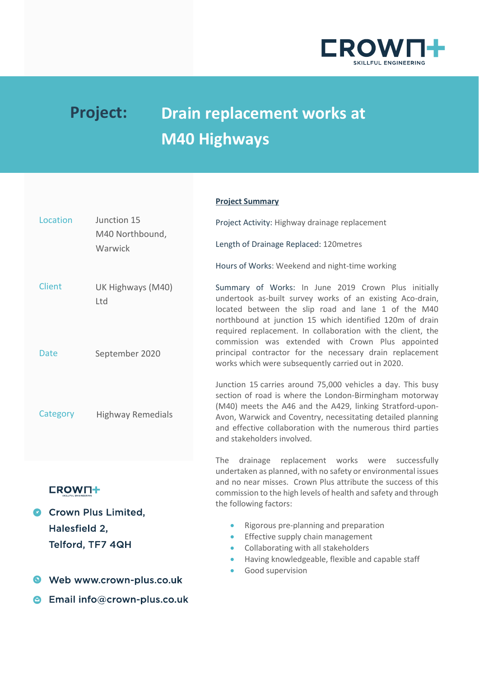

# **Project: Drain replacement works at M40 Highways**

#### **Project Summary**

| Location                                         | Junction 15                | Project Activity: Highway drainage replacement                                                                                                                                                                                                                                                                                                          |
|--------------------------------------------------|----------------------------|---------------------------------------------------------------------------------------------------------------------------------------------------------------------------------------------------------------------------------------------------------------------------------------------------------------------------------------------------------|
|                                                  | M40 Northbound,<br>Warwick | Length of Drainage Replaced: 120metres                                                                                                                                                                                                                                                                                                                  |
|                                                  |                            | Hours of Works: Weekend and night-time working                                                                                                                                                                                                                                                                                                          |
| <b>Client</b>                                    | UK Highways (M40)<br>Ltd   | Summary of Works: In June 2019 Crown Plus initially<br>undertook as-built survey works of an existing Aco-drain,<br>located between the slip road and lane 1 of the M40<br>northbound at junction 15 which identified 120m of drain<br>required replacement. In collaboration with the client, the<br>commission was extended with Crown Plus appointed |
| <b>Date</b>                                      | September 2020             | principal contractor for the necessary drain replacement<br>works which were subsequently carried out in 2020.                                                                                                                                                                                                                                          |
| Category                                         | <b>Highway Remedials</b>   | Junction 15 carries around 75,000 vehicles a day. This busy<br>section of road is where the London-Birmingham motorway<br>(M40) meets the A46 and the A429, linking Stratford-upon-<br>Avon, Warwick and Coventry, necessitating detailed planning<br>and effective collaboration with the numerous third parties<br>and stakeholders involved.         |
| <b>EROW∏†</b><br><b>Crown Plus Limited,</b><br>O |                            | drainage replacement works were<br>The<br>successfully<br>undertaken as planned, with no safety or environmental issues<br>and no near misses. Crown Plus attribute the success of this<br>commission to the high levels of health and safety and through<br>the following factors:                                                                     |
| Halesfield 2,                                    |                            | Rigorous pre-planning and preparation<br>$\bullet$                                                                                                                                                                                                                                                                                                      |
|                                                  |                            | Effective supply chain management<br>$\bullet$                                                                                                                                                                                                                                                                                                          |
| Telford, TF7 4QH                                 |                            | Collaborating with all stakeholders<br>$\bullet$                                                                                                                                                                                                                                                                                                        |
|                                                  |                            | Having knowledgeable, flexible and capable staff<br>$\bullet$                                                                                                                                                                                                                                                                                           |
|                                                  | Web www.crown-plus.co.uk   | Good supervision<br>$\bullet$                                                                                                                                                                                                                                                                                                                           |

**S** Email info@crown-plus.co.uk